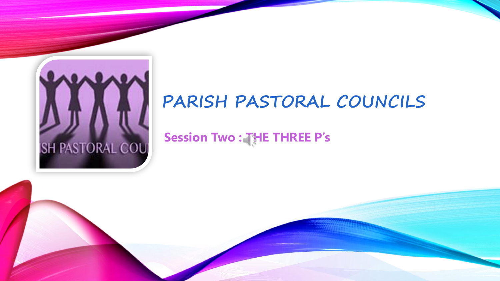

### **PARISH PASTORAL COUNCILS**

**Session Two : THE THREE P's**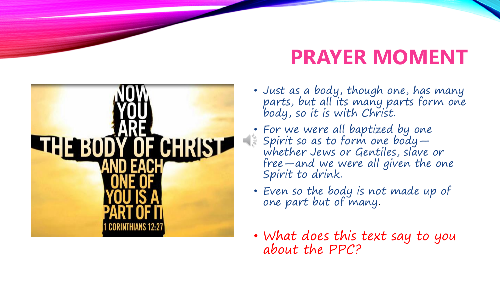# Y OF CHRIST **THE BOD**

# **PRAYER MOMENT**

- Just as a body, though one, has many parts, but all its many parts form one body, so it is with Christ.
- For we were all baptized by one Spirit so as to form one body whether Jews or Gentiles, slave or free—and we were all given the one Spirit to drink.
- Even so the body is not made up of one part but of many.
- What does this text say to you about the PPC?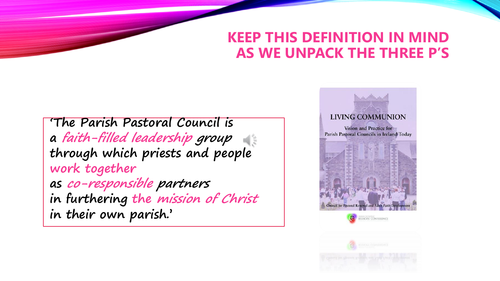#### **KEEP THIS DEFINITION IN MIND AS WE UNPACK THE THREE P'S**

**'The Parish Pastoral Council is a faith-filled leadership group through which priests and people work together as co-responsible partners in furthering the mission of Christ in their own parish.'** 

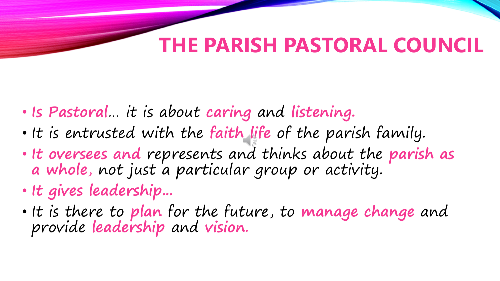# **THE PARISH PASTORAL COUNCIL**

- **Is Pastoral**… it is about **caring** and **listening.**
- It is entrusted with the **faith life** of the parish family.
- **It oversees and** represents and thinks about the **parish as a whole**, not just a particular group or activity.
- **It gives leadership...**
- It is there to **plan** for the future, to **manage change** and provide **leadership** and **vision**.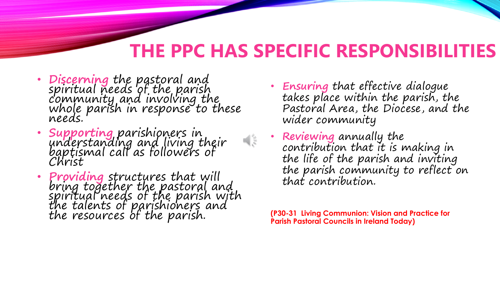## **THE PPC HAS SPECIFIC RESPONSIBILITIES**

- **Discerning** the pastoral and spiritual needs of the parish community and involving the whole parish in response to these needs.
- **Supporting** parishioners in understanding and living their<br>baptismal call as followers of Christ
- **Providing** structures that will<br>bring together the pastoral and<br>spiritual needs of the parish with<br>the talents of parishioners and the resources of the parish.
- **Ensuring** that effective dialogue takes place within the parish, the Pastoral Area, the Diocese, and the wider community
- **Reviewing** annually the contribution that it is making in the life of the parish and inviting the parish community to reflect on that contribution.

**(P30-31 Living Communion: Vision and Practice for Parish Pastoral Councils in Ireland Today)**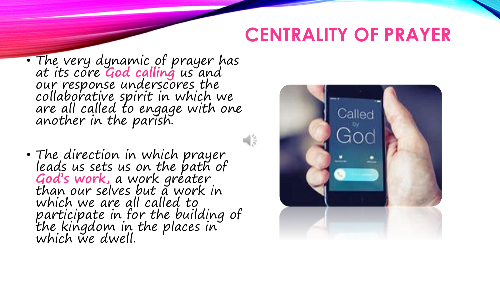## **CENTRALITY OF PRAYER**

- The very dynamic of prayer has at its core **God calling** us and our response underscores the collaborative spirit in which we are all called to engage with one another in the parish.
- The direction in which prayer leads us sets us on the path of **God's work,** a work greater than our selves but a work in which we are all called to participate in for the building of the kingdom in the places in which we dwell.



 $\frac{1}{2}$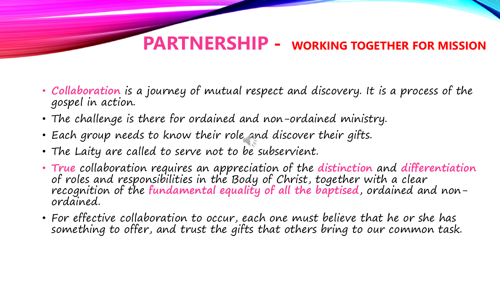#### **PARTNERSHIP - WORKING TOGETHER FOR MISSION**

- **Collaboration** is a journey of mutual respect and discovery. It is a process of the gospel in action.
- The challenge is there for ordained and non-ordained ministry.
- Each group needs to know their role and discover their gifts.
- The Laity are called to serve not to be subservient.
- **True** collaboration requires an appreciation of the **distinction** and **differentiation** of roles and responsibilities in the Body of Christ, together with a clear recognition of the **fundamental equality of all the baptised**, ordained and nonordained.
- For effective collaboration to occur, each one must believe that he or she has something to offer, and trust the gifts that others bring to our common task.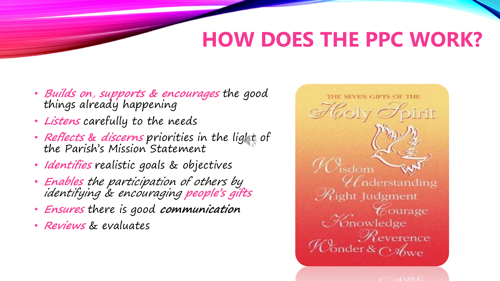# **HOW DOES THE PPC WORK?**

- **Builds on**, **supports & encourages** the good things already happening
- **Listens** carefully to the needs
- **Reflects & discerns** priorities in the light of the Parish's Mission Statement
- **Identifies** realistic goals & objectives
- **Enables** the participation of others by identifying & encouraging **people's gifts**
- **Ensures** there is good **communication**
- **Reviews** & evaluates

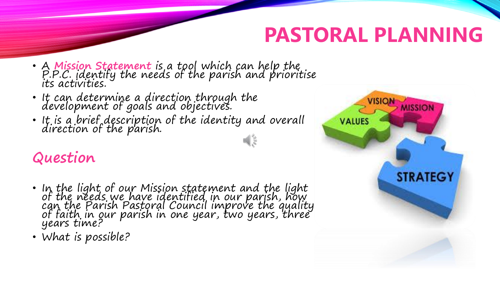## **PASTORAL PLANNING**

- <sup>A</sup>**Mission Statement** is a tool which can help the P.P.C. identify the needs of the parish and prioritise its activities.
- It can determine a direction through the development of goals and objectives.
- It is a brief description of the identity and overall direction of the parish.

#### **Question**

- In the light of our Mission statement and the light<br>of the needs we have identified in our parish, how can the Parish Pastoral Council improve the quality<br>of faith in our parish in one year, two years, three years time?
- What is possible?